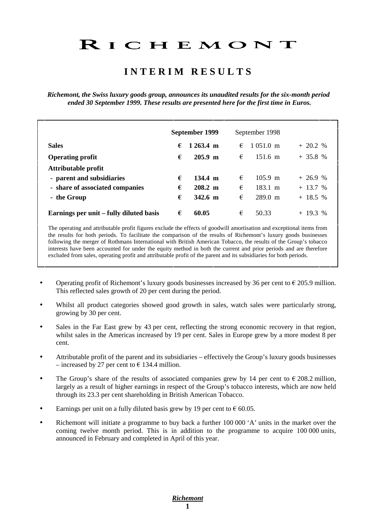# RICHEMONT

## **I N T E R I M R E S U L T S**

*Richemont, the Swiss luxury goods group, announces its unaudited results for the six-month period ended 30 September 1999. These results are presented here for the first time in Euros.* 

|                                         |   | September 1999        |   | September 1998      |            |
|-----------------------------------------|---|-----------------------|---|---------------------|------------|
| <b>Sales</b>                            | € | $1263.4 \text{ m}$    | € | $1051.0 \text{ m}$  | $+20.2 %$  |
| <b>Operating profit</b>                 | € | $205.9 \; \mathrm{m}$ | € | $151.6 \text{ m}$   | $+35.8%$   |
| Attributable profit                     |   |                       |   |                     |            |
| - parent and subsidiaries               | € | $134.4 \; m$          | € | $105.9 \; \text{m}$ | $+26.9%$   |
| - share of associated companies         | € | $208.2 \; \text{m}$   | € | $183.1 \; \text{m}$ | $+ 13.7 %$ |
| - the Group                             | € | $342.6 \; m$          | € | $289.0 \text{ m}$   | $+ 18.5 %$ |
| Earnings per unit – fully diluted basis | € | 60.05                 | € | 50.33               | $+$ 19.3 % |

The operating and attributable profit figures exclude the effects of goodwill amortisation and exceptional items from the results for both periods. To facilitate the comparison of the results of Richemont's luxury goods businesses following the merger of Rothmans International with British American Tobacco, the results of the Group's tobacco interests have been accounted for under the equity method in both the current and prior periods and are therefore excluded from sales, operating profit and attributable profit of the parent and its subsidiaries for both periods.

- Operating profit of Richemont's luxury goods businesses increased by 36 per cent to  $\epsilon$  205.9 million. This reflected sales growth of 20 per cent during the period.
- Whilst all product categories showed good growth in sales, watch sales were particularly strong, growing by 30 per cent.
- Sales in the Far East grew by 43 per cent, reflecting the strong economic recovery in that region, whilst sales in the Americas increased by 19 per cent. Sales in Europe grew by a more modest 8 per cent.
- Attributable profit of the parent and its subsidiaries effectively the Group's luxury goods businesses – increased by 27 per cent to  $\epsilon$  134.4 million.
- The Group's share of the results of associated companies grew by 14 per cent to  $\epsilon$  208.2 million, largely as a result of higher earnings in respect of the Group's tobacco interests, which are now held through its 23.3 per cent shareholding in British American Tobacco.
- Earnings per unit on a fully diluted basis grew by 19 per cent to  $\epsilon$  60.05.
- Richemont will initiate a programme to buy back a further 100 000 'A' units in the market over the coming twelve month period. This is in addition to the programme to acquire 100 000 units, announced in February and completed in April of this year.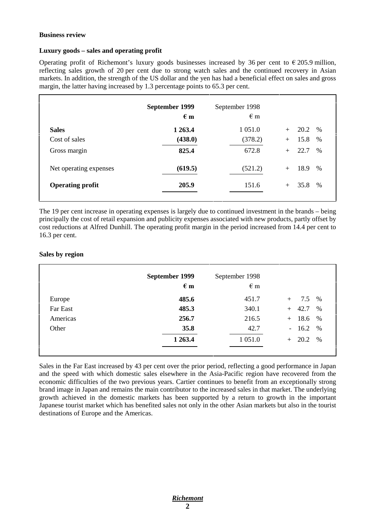#### **Business review**

#### **Luxury goods – sales and operating profit**

Operating profit of Richemont's luxury goods businesses increased by 36 per cent to  $\epsilon$  205.9 million, reflecting sales growth of 20 per cent due to strong watch sales and the continued recovery in Asian markets. In addition, the strength of the US dollar and the yen has had a beneficial effect on sales and gross margin, the latter having increased by 1.3 percentage points to 65.3 per cent.

|                         | September 1999<br>$\epsilon$ m | September 1998<br>$\epsilon$ m |                              |
|-------------------------|--------------------------------|--------------------------------|------------------------------|
| <b>Sales</b>            | 1 263.4                        | 1 0 5 1 .0                     | 20.2<br>%<br>$+$             |
| Cost of sales           | (438.0)                        | (378.2)                        | 15.8<br>%<br>$+$             |
| Gross margin            | 825.4                          | 672.8                          | 22.7<br>$\frac{0}{0}$<br>$+$ |
| Net operating expenses  | (619.5)                        | (521.2)                        | 18.9<br>$\%$<br>$+$          |
| <b>Operating profit</b> | 205.9                          | 151.6                          | 35.8<br>$\frac{0}{0}$<br>$+$ |
|                         |                                |                                |                              |

The 19 per cent increase in operating expenses is largely due to continued investment in the brands – being principally the cost of retail expansion and publicity expenses associated with new products, partly offset by cost reductions at Alfred Dunhill. The operating profit margin in the period increased from 14.4 per cent to 16.3 per cent.

#### **Sales by region**

|          | September 1999<br>$\epsilon$ m | September 1998<br>$\epsilon$ m |                     |
|----------|--------------------------------|--------------------------------|---------------------|
| Europe   | 485.6                          | 451.7                          | 7.5<br>%<br>$+$     |
| Far East | 485.3                          | 340.1                          | 42.7<br>$\%$<br>$+$ |
| Americas | 256.7                          | 216.5                          | $+ 18.6$<br>%       |
| Other    | 35.8                           | 42.7                           | $-16.2$<br>$\%$     |
|          | 1 263.4                        | 1 0 5 1 .0                     | $+ 20.2$<br>$\%$    |
|          |                                |                                |                     |

Sales in the Far East increased by 43 per cent over the prior period, reflecting a good performance in Japan and the speed with which domestic sales elsewhere in the Asia-Pacific region have recovered from the economic difficulties of the two previous years. Cartier continues to benefit from an exceptionally strong brand image in Japan and remains the main contributor to the increased sales in that market. The underlying growth achieved in the domestic markets has been supported by a return to growth in the important Japanese tourist market which has benefited sales not only in the other Asian markets but also in the tourist destinations of Europe and the Americas.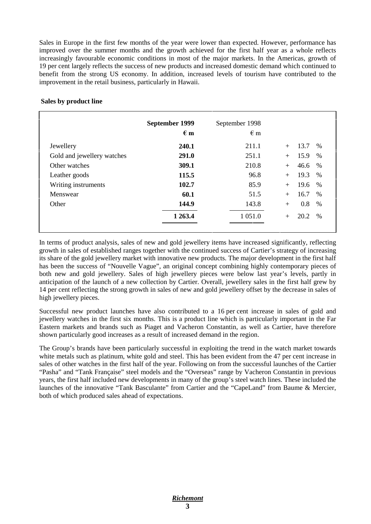Sales in Europe in the first few months of the year were lower than expected. However, performance has improved over the summer months and the growth achieved for the first half year as a whole reflects increasingly favourable economic conditions in most of the major markets. In the Americas, growth of 19 per cent largely reflects the success of new products and increased domestic demand which continued to benefit from the strong US economy. In addition, increased levels of tourism have contributed to the improvement in the retail business, particularly in Hawaii.

|                            | September 1999<br>$\epsilon$ m | September 1998<br>$\epsilon$ m |                        |
|----------------------------|--------------------------------|--------------------------------|------------------------|
| Jewellery                  | 240.1                          | 211.1                          | 13.7<br>$\%$<br>$+$    |
| Gold and jewellery watches | 291.0                          | 251.1                          | 15.9<br>%<br>$+$       |
| Other watches              | 309.1                          | 210.8                          | 46.6<br>%<br>$+$       |
| Leather goods              | 115.5                          | 96.8                           | 19.3<br>$\%$<br>$+$    |
| Writing instruments        | 102.7                          | 85.9                           | 19.6<br>%<br>$+$       |
| Menswear                   | 60.1                           | 51.5                           | 16.7<br>%<br>$+$       |
| Other                      | 144.9                          | 143.8                          | 0.8<br>%<br>$+$        |
|                            | 1 263.4                        | 1 0 5 1 .0                     | 20.2<br>$\%$<br>$^{+}$ |

#### **Sales by product line**

In terms of product analysis, sales of new and gold jewellery items have increased significantly, reflecting growth in sales of established ranges together with the continued success of Cartier's strategy of increasing its share of the gold jewellery market with innovative new products. The major development in the first half has been the success of "Nouvelle Vague", an original concept combining highly contemporary pieces of both new and gold jewellery. Sales of high jewellery pieces were below last year's levels, partly in anticipation of the launch of a new collection by Cartier. Overall, jewellery sales in the first half grew by 14 per cent reflecting the strong growth in sales of new and gold jewellery offset by the decrease in sales of high jewellery pieces.

Successful new product launches have also contributed to a 16 per cent increase in sales of gold and jewellery watches in the first six months. This is a product line which is particularly important in the Far Eastern markets and brands such as Piaget and Vacheron Constantin, as well as Cartier, have therefore shown particularly good increases as a result of increased demand in the region.

The Group's brands have been particularly successful in exploiting the trend in the watch market towards white metals such as platinum, white gold and steel. This has been evident from the 47 per cent increase in sales of other watches in the first half of the year. Following on from the successful launches of the Cartier "Pasha" and "Tank Française" steel models and the "Overseas" range by Vacheron Constantin in previous years, the first half included new developments in many of the group's steel watch lines. These included the launches of the innovative "Tank Basculante" from Cartier and the "CapeLand" from Baume & Mercier, both of which produced sales ahead of expectations.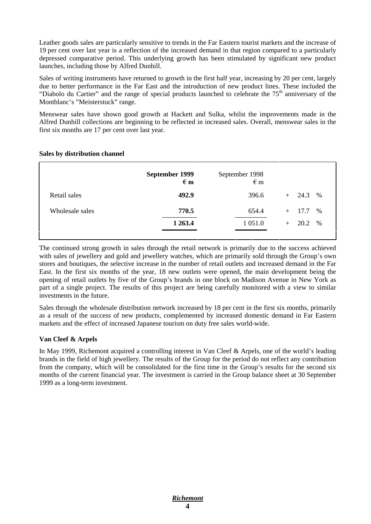Leather goods sales are particularly sensitive to trends in the Far Eastern tourist markets and the increase of 19 per cent over last year is a reflection of the increased demand in that region compared to a particularly depressed comparative period. This underlying growth has been stimulated by significant new product launches, including those by Alfred Dunhill.

Sales of writing instruments have returned to growth in the first half year, increasing by 20 per cent, largely due to better performance in the Far East and the introduction of new product lines. These included the "Diabolo du Cartier" and the range of special products launched to celebrate the  $75<sup>th</sup>$  anniversary of the Montblanc's "Meisterstuck" range.

Menswear sales have shown good growth at Hackett and Sulka, whilst the improvements made in the Alfred Dunhill collections are beginning to be reflected in increased sales. Overall, menswear sales in the first six months are 17 per cent over last year.

|                 | September 1999<br>$\epsilon$ m | September 1998<br>$\epsilon$ m |                  |
|-----------------|--------------------------------|--------------------------------|------------------|
| Retail sales    | 492.9                          | 396.6                          | $+$ 24.3<br>%    |
| Wholesale sales | 770.5                          | 654.4                          | $+$ 17.7<br>$\%$ |
|                 | 1 2 6 3 .4                     | 1 0 5 1 .0                     | $+$ 20.2<br>$\%$ |
|                 |                                |                                |                  |

#### **Sales by distribution channel**

The continued strong growth in sales through the retail network is primarily due to the success achieved with sales of jewellery and gold and jewellery watches, which are primarily sold through the Group's own stores and boutiques, the selective increase in the number of retail outlets and increased demand in the Far East. In the first six months of the year, 18 new outlets were opened, the main development being the opening of retail outlets by five of the Group's brands in one block on Madison Avenue in New York as part of a single project. The results of this project are being carefully monitored with a view to similar investments in the future.

Sales through the wholesale distribution network increased by 18 per cent in the first six months, primarily as a result of the success of new products, complemented by increased domestic demand in Far Eastern markets and the effect of increased Japanese tourism on duty free sales world-wide.

#### **Van Cleef & Arpels**

In May 1999, Richemont acquired a controlling interest in Van Cleef & Arpels, one of the world's leading brands in the field of high jewellery. The results of the Group for the period do not reflect any contribution from the company, which will be consolidated for the first time in the Group's results for the second six months of the current financial year. The investment is carried in the Group balance sheet at 30 September 1999 as a long-term investment.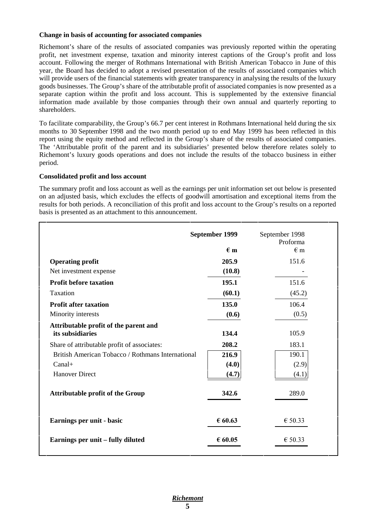#### **Change in basis of accounting for associated companies**

Richemont's share of the results of associated companies was previously reported within the operating profit, net investment expense, taxation and minority interest captions of the Group's profit and loss account. Following the merger of Rothmans International with British American Tobacco in June of this year, the Board has decided to adopt a revised presentation of the results of associated companies which will provide users of the financial statements with greater transparency in analysing the results of the luxury goods businesses. The Group's share of the attributable profit of associated companies is now presented as a separate caption within the profit and loss account. This is supplemented by the extensive financial information made available by those companies through their own annual and quarterly reporting to shareholders.

To facilitate comparability, the Group's 66.7 per cent interest in Rothmans International held during the six months to 30 September 1998 and the two month period up to end May 1999 has been reflected in this report using the equity method and reflected in the Group's share of the results of associated companies. The 'Attributable profit of the parent and its subsidiaries' presented below therefore relates solely to Richemont's luxury goods operations and does not include the results of the tobacco business in either period.

#### **Consolidated profit and loss account**

The summary profit and loss account as well as the earnings per unit information set out below is presented on an adjusted basis, which excludes the effects of goodwill amortisation and exceptional items from the results for both periods. A reconciliation of this profit and loss account to the Group's results on a reported basis is presented as an attachment to this announcement.

|                                                           | September 1999 | September 1998<br>Proforma |
|-----------------------------------------------------------|----------------|----------------------------|
|                                                           | $\epsilon$ m   | $\epsilon$ m               |
| <b>Operating profit</b>                                   | 205.9          | 151.6                      |
| Net investment expense                                    | (10.8)         |                            |
| <b>Profit before taxation</b>                             | 195.1          | 151.6                      |
| Taxation                                                  | (60.1)         | (45.2)                     |
| <b>Profit after taxation</b>                              | 135.0          | 106.4                      |
| Minority interests                                        | (0.6)          | (0.5)                      |
| Attributable profit of the parent and<br>its subsidiaries | 134.4          | 105.9                      |
| Share of attributable profit of associates:               | 208.2          | 183.1                      |
| British American Tobacco / Rothmans International         | 216.9          | 190.1                      |
| $Canal+$                                                  | (4.0)          | (2.9)                      |
| <b>Hanover Direct</b>                                     | (4.7)          | (4.1)                      |
| <b>Attributable profit of the Group</b>                   | 342.6          | 289.0                      |
| Earnings per unit - basic                                 | € $60.63$      | € 50.33                    |
| Earnings per unit - fully diluted                         | € 60.05        | € 50.33                    |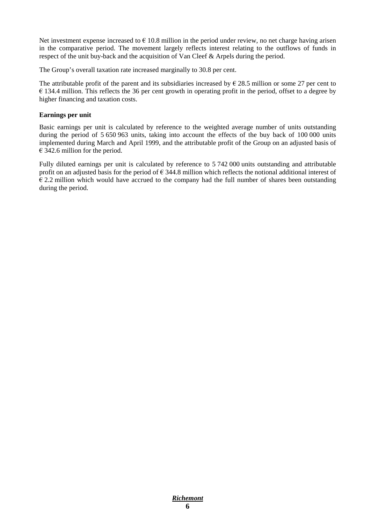Net investment expense increased to  $\epsilon$  10.8 million in the period under review, no net charge having arisen in the comparative period. The movement largely reflects interest relating to the outflows of funds in respect of the unit buy-back and the acquisition of Van Cleef & Arpels during the period.

The Group's overall taxation rate increased marginally to 30.8 per cent.

The attributable profit of the parent and its subsidiaries increased by  $\epsilon$  28.5 million or some 27 per cent to  $\epsilon$  134.4 million. This reflects the 36 per cent growth in operating profit in the period, offset to a degree by higher financing and taxation costs.

#### **Earnings per unit**

Basic earnings per unit is calculated by reference to the weighted average number of units outstanding during the period of 5 650 963 units, taking into account the effects of the buy back of 100 000 units implemented during March and April 1999, and the attributable profit of the Group on an adjusted basis of  $\epsilon$  342.6 million for the period.

Fully diluted earnings per unit is calculated by reference to 5 742 000 units outstanding and attributable profit on an adjusted basis for the period of  $\epsilon$  344.8 million which reflects the notional additional interest of  $\epsilon$  2.2 million which would have accrued to the company had the full number of shares been outstanding during the period.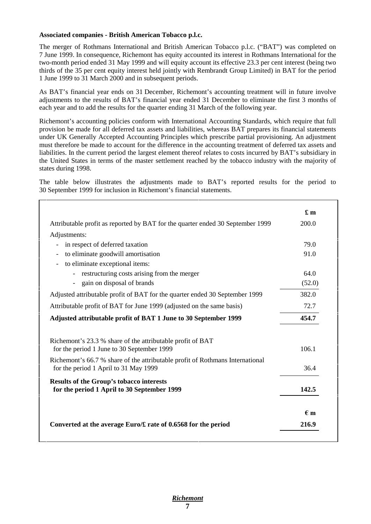#### **Associated companies - British American Tobacco p.l.c.**

The merger of Rothmans International and British American Tobacco p.l.c. ("BAT") was completed on 7 June 1999. In consequence, Richemont has equity accounted its interest in Rothmans International for the two-month period ended 31 May 1999 and will equity account its effective 23.3 per cent interest (being two thirds of the 35 per cent equity interest held jointly with Rembrandt Group Limited) in BAT for the period 1 June 1999 to 31 March 2000 and in subsequent periods.

As BAT's financial year ends on 31 December, Richemont's accounting treatment will in future involve adjustments to the results of BAT's financial year ended 31 December to eliminate the first 3 months of each year and to add the results for the quarter ending 31 March of the following year.

Richemont's accounting policies conform with International Accounting Standards, which require that full provision be made for all deferred tax assets and liabilities, whereas BAT prepares its financial statements under UK Generally Accepted Accounting Principles which prescribe partial provisioning. An adjustment must therefore be made to account for the difference in the accounting treatment of deferred tax assets and liabilities. In the current period the largest element thereof relates to costs incurred by BAT's subsidiary in the United States in terms of the master settlement reached by the tobacco industry with the majority of states during 1998.

The table below illustrates the adjustments made to BAT's reported results for the period to 30 September 1999 for inclusion in Richemont's financial statements.

|                                                                                                          | $\pmb{\pounds}$ m |
|----------------------------------------------------------------------------------------------------------|-------------------|
| Attributable profit as reported by BAT for the quarter ended 30 September 1999                           | 200.0             |
| Adjustments:                                                                                             |                   |
| in respect of deferred taxation<br>$\overline{\phantom{a}}$                                              | 79.0              |
| to eliminate goodwill amortisation<br>$\overline{\phantom{a}}$                                           | 91.0              |
| to eliminate exceptional items:                                                                          |                   |
| restructuring costs arising from the merger                                                              | 64.0              |
| - gain on disposal of brands                                                                             | (52.0)            |
| Adjusted attributable profit of BAT for the quarter ended 30 September 1999                              | 382.0             |
| Attributable profit of BAT for June 1999 (adjusted on the same basis)                                    | 72.7              |
| Adjusted attributable profit of BAT 1 June to 30 September 1999                                          | 454.7             |
| Richemont's 23.3 % share of the attributable profit of BAT<br>for the period 1 June to 30 September 1999 | 106.1             |
| Richemont's 66.7 % share of the attributable profit of Rothmans International                            | 36.4              |
| for the period 1 April to 31 May 1999                                                                    |                   |
| <b>Results of the Group's tobacco interests</b><br>for the period 1 April to 30 September 1999           | 142.5             |
|                                                                                                          | $\epsilon$ m      |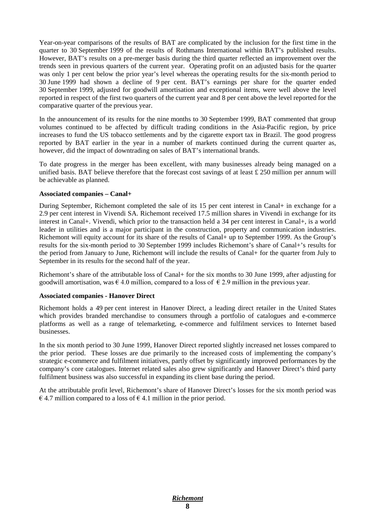Year-on-year comparisons of the results of BAT are complicated by the inclusion for the first time in the quarter to 30 September 1999 of the results of Rothmans International within BAT's published results. However, BAT's results on a pre-merger basis during the third quarter reflected an improvement over the trends seen in previous quarters of the current year. Operating profit on an adjusted basis for the quarter was only 1 per cent below the prior year's level whereas the operating results for the six-month period to 30 June 1999 had shown a decline of 9 per cent. BAT's earnings per share for the quarter ended 30 September 1999, adjusted for goodwill amortisation and exceptional items, were well above the level reported in respect of the first two quarters of the current year and 8 per cent above the level reported for the comparative quarter of the previous year.

In the announcement of its results for the nine months to 30 September 1999, BAT commented that group volumes continued to be affected by difficult trading conditions in the Asia-Pacific region, by price increases to fund the US tobacco settlements and by the cigarette export tax in Brazil. The good progress reported by BAT earlier in the year in a number of markets continued during the current quarter as, however, did the impact of downtrading on sales of BAT's international brands.

To date progress in the merger has been excellent, with many businesses already being managed on a unified basis. BAT believe therefore that the forecast cost savings of at least  $\pounds$  250 million per annum will be achievable as planned.

#### **Associated companies – Canal+**

During September, Richemont completed the sale of its 15 per cent interest in Canal+ in exchange for a 2.9 per cent interest in Vivendi SA. Richemont received 17.5 million shares in Vivendi in exchange for its interest in Canal+. Vivendi, which prior to the transaction held a 34 per cent interest in Canal+, is a world leader in utilities and is a major participant in the construction, property and communication industries. Richemont will equity account for its share of the results of Canal+ up to September 1999. As the Group's results for the six-month period to 30 September 1999 includes Richemont's share of Canal+'s results for the period from January to June, Richemont will include the results of Canal+ for the quarter from July to September in its results for the second half of the year.

Richemont's share of the attributable loss of Canal+ for the six months to 30 June 1999, after adjusting for goodwill amortisation, was  $\epsilon$  4.0 million, compared to a loss of  $\epsilon$  2.9 million in the previous year.

#### **Associated companies - Hanover Direct**

Richemont holds a 49 per cent interest in Hanover Direct, a leading direct retailer in the United States which provides branded merchandise to consumers through a portfolio of catalogues and e-commerce platforms as well as a range of telemarketing, e-commerce and fulfilment services to Internet based businesses.

In the six month period to 30 June 1999, Hanover Direct reported slightly increased net losses compared to the prior period. These losses are due primarily to the increased costs of implementing the company's strategic e-commerce and fulfilment initiatives, partly offset by significantly improved performances by the company's core catalogues. Internet related sales also grew significantly and Hanover Direct's third party fulfilment business was also successful in expanding its client base during the period.

At the attributable profit level, Richemont's share of Hanover Direct's losses for the six month period was  $\epsilon$  4.7 million compared to a loss of  $\epsilon$  4.1 million in the prior period.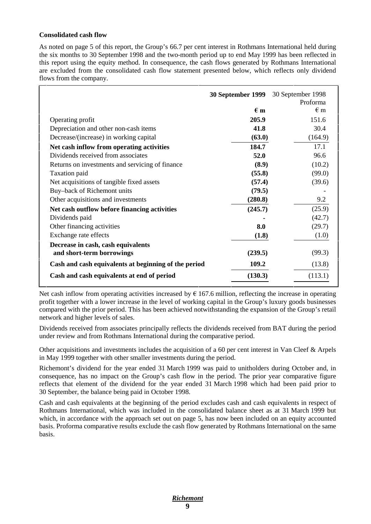#### **Consolidated cash flow**

As noted on page 5 of this report, the Group's 66.7 per cent interest in Rothmans International held during the six months to 30 September 1998 and the two-month period up to end May 1999 has been reflected in this report using the equity method. In consequence, the cash flows generated by Rothmans International are excluded from the consolidated cash flow statement presented below, which reflects only dividend flows from the company.

|                                                      | 30 September 1999 | 30 September 1998 |
|------------------------------------------------------|-------------------|-------------------|
|                                                      |                   | Proforma          |
|                                                      | $\epsilon$ m      | $\epsilon$ m      |
| Operating profit                                     | 205.9             | 151.6             |
| Depreciation and other non-cash items                | 41.8              | 30.4              |
| Decrease/(increase) in working capital               | (63.0)            | (164.9)           |
| Net cash inflow from operating activities            | 184.7             | 17.1              |
| Dividends received from associates                   | 52.0              | 96.6              |
| Returns on investments and servicing of finance      | (8.9)             | (10.2)            |
| Taxation paid                                        | (55.8)            | (99.0)            |
| Net acquisitions of tangible fixed assets            | (57.4)            | (39.6)            |
| Buy-back of Richemont units                          | (79.5)            |                   |
| Other acquisitions and investments                   | (280.8)           | 9.2               |
| Net cash outflow before financing activities         | (245.7)           | (25.9)            |
| Dividends paid                                       |                   | (42.7)            |
| Other financing activities                           | 8.0               | (29.7)            |
| Exchange rate effects                                | (1.8)             | (1.0)             |
| Decrease in cash, cash equivalents                   |                   |                   |
| and short-term borrowings                            | (239.5)           | (99.3)            |
| Cash and cash equivalents at beginning of the period | 109.2             | (13.8)            |
| Cash and cash equivalents at end of period           | (130.3)           | (113.1)           |

Net cash inflow from operating activities increased by  $\epsilon$  167.6 million, reflecting the increase in operating profit together with a lower increase in the level of working capital in the Group's luxury goods businesses compared with the prior period. This has been achieved notwithstanding the expansion of the Group's retail network and higher levels of sales.

Dividends received from associates principally reflects the dividends received from BAT during the period under review and from Rothmans International during the comparative period.

Other acquisitions and investments includes the acquisition of a 60 per cent interest in Van Cleef & Arpels in May 1999 together with other smaller investments during the period.

Richemont's dividend for the year ended 31 March 1999 was paid to unitholders during October and, in consequence, has no impact on the Group's cash flow in the period. The prior year comparative figure reflects that element of the dividend for the year ended 31 March 1998 which had been paid prior to 30 September, the balance being paid in October 1998.

Cash and cash equivalents at the beginning of the period excludes cash and cash equivalents in respect of Rothmans International, which was included in the consolidated balance sheet as at 31 March 1999 but which, in accordance with the approach set out on page 5, has now been included on an equity accounted basis. Proforma comparative results exclude the cash flow generated by Rothmans International on the same basis.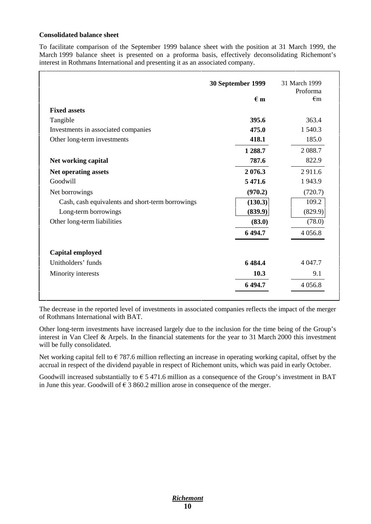#### **Consolidated balance sheet**

To facilitate comparison of the September 1999 balance sheet with the position at 31 March 1999, the March 1999 balance sheet is presented on a proforma basis, effectively deconsolidating Richemont's interest in Rothmans International and presenting it as an associated company.

|                                                  | 30 September 1999 | 31 March 1999<br>Proforma |
|--------------------------------------------------|-------------------|---------------------------|
|                                                  | $\epsilon$ m      | $\epsilon$ m              |
| <b>Fixed assets</b>                              |                   |                           |
| Tangible                                         | 395.6             | 363.4                     |
| Investments in associated companies              | 475.0             | 1 540.3                   |
| Other long-term investments                      | 418.1             | 185.0                     |
|                                                  | 1 288.7           | 2 0 8 8.7                 |
| Net working capital                              | 787.6             | 822.9                     |
| Net operating assets                             | 2 0 7 6 .3        | 2911.6                    |
| Goodwill                                         | 5 471.6           | 1943.9                    |
| Net borrowings                                   | (970.2)           | (720.7)                   |
| Cash, cash equivalents and short-term borrowings | (130.3)           | 109.2                     |
| Long-term borrowings                             | (839.9)           | (829.9)                   |
| Other long-term liabilities                      | (83.0)            | (78.0)                    |
|                                                  | 6 4 9 4.7         | 4 0 5 6.8                 |
| Capital employed                                 |                   |                           |
| Unitholders' funds                               | 6484.4            | 4 0 4 7 .7                |
| Minority interests                               | 10.3              | 9.1                       |
|                                                  | 6 494.7           | 4 0 5 6.8                 |

The decrease in the reported level of investments in associated companies reflects the impact of the merger of Rothmans International with BAT.

Other long-term investments have increased largely due to the inclusion for the time being of the Group's interest in Van Cleef & Arpels. In the financial statements for the year to 31 March 2000 this investment will be fully consolidated.

Net working capital fell to  $\epsilon$  787.6 million reflecting an increase in operating working capital, offset by the accrual in respect of the dividend payable in respect of Richemont units, which was paid in early October.

Goodwill increased substantially to  $\epsilon$  5 471.6 million as a consequence of the Group's investment in BAT in June this year. Goodwill of  $\epsilon$  3 860.2 million arose in consequence of the merger.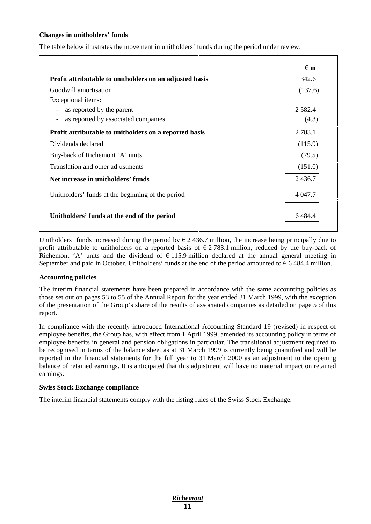#### **Changes in unitholders' funds**

The table below illustrates the movement in unitholders' funds during the period under review.

|                                                                 | $\epsilon$ m |
|-----------------------------------------------------------------|--------------|
| Profit attributable to unitholders on an adjusted basis         | 342.6        |
| Goodwill amortisation                                           | (137.6)      |
| Exceptional items:                                              |              |
| as reported by the parent<br>$\overline{\phantom{a}}$           | 2 5 8 2 . 4  |
| as reported by associated companies<br>$\overline{\phantom{a}}$ | (4.3)        |
| Profit attributable to unitholders on a reported basis          | 2 7 8 3 .1   |
| Dividends declared                                              | (115.9)      |
| Buy-back of Richemont 'A' units                                 | (79.5)       |
| Translation and other adjustments                               | (151.0)      |
| Net increase in unitholders' funds                              | 2436.7       |
| Unitholders' funds at the beginning of the period               | 4 0 4 7 .7   |
| Unitholders' funds at the end of the period                     | 6 4 8 4 . 4  |

Unitholders' funds increased during the period by  $\epsilon$  2 436.7 million, the increase being principally due to profit attributable to unitholders on a reported basis of  $\epsilon$  2 783.1 million, reduced by the buy-back of Richemont 'A' units and the dividend of  $\epsilon$  115.9 million declared at the annual general meeting in September and paid in October. Unitholders' funds at the end of the period amounted to  $\epsilon$  6 484.4 million.

#### **Accounting policies**

The interim financial statements have been prepared in accordance with the same accounting policies as those set out on pages 53 to 55 of the Annual Report for the year ended 31 March 1999, with the exception of the presentation of the Group's share of the results of associated companies as detailed on page 5 of this report.

In compliance with the recently introduced International Accounting Standard 19 (revised) in respect of employee benefits, the Group has, with effect from 1 April 1999, amended its accounting policy in terms of employee benefits in general and pension obligations in particular. The transitional adjustment required to be recognised in terms of the balance sheet as at 31 March 1999 is currently being quantified and will be reported in the financial statements for the full year to 31 March 2000 as an adjustment to the opening balance of retained earnings. It is anticipated that this adjustment will have no material impact on retained earnings.

#### **Swiss Stock Exchange compliance**

The interim financial statements comply with the listing rules of the Swiss Stock Exchange.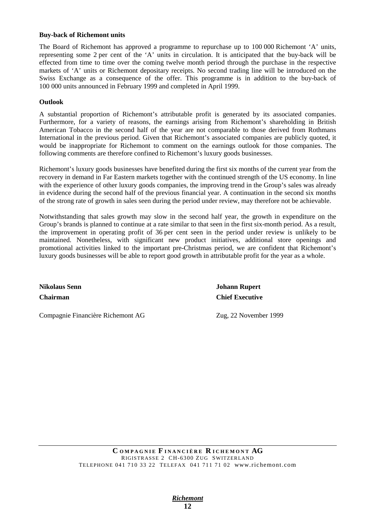#### **Buy-back of Richemont units**

The Board of Richemont has approved a programme to repurchase up to 100 000 Richemont 'A' units, representing some 2 per cent of the 'A' units in circulation. It is anticipated that the buy-back will be effected from time to time over the coming twelve month period through the purchase in the respective markets of 'A' units or Richemont depositary receipts. No second trading line will be introduced on the Swiss Exchange as a consequence of the offer. This programme is in addition to the buy-back of 100 000 units announced in February 1999 and completed in April 1999.

#### **Outlook**

A substantial proportion of Richemont's attributable profit is generated by its associated companies. Furthermore, for a variety of reasons, the earnings arising from Richemont's shareholding in British American Tobacco in the second half of the year are not comparable to those derived from Rothmans International in the previous period. Given that Richemont's associated companies are publicly quoted, it would be inappropriate for Richemont to comment on the earnings outlook for those companies. The following comments are therefore confined to Richemont's luxury goods businesses.

Richemont's luxury goods businesses have benefited during the first six months of the current year from the recovery in demand in Far Eastern markets together with the continued strength of the US economy. In line with the experience of other luxury goods companies, the improving trend in the Group's sales was already in evidence during the second half of the previous financial year. A continuation in the second six months of the strong rate of growth in sales seen during the period under review, may therefore not be achievable.

Notwithstanding that sales growth may slow in the second half year, the growth in expenditure on the Group's brands is planned to continue at a rate similar to that seen in the first six-month period. As a result, the improvement in operating profit of 36 per cent seen in the period under review is unlikely to be maintained. Nonetheless, with significant new product initiatives, additional store openings and promotional activities linked to the important pre-Christmas period, we are confident that Richemont's luxury goods businesses will be able to report good growth in attributable profit for the year as a whole.

Compagnie Financière Richemont AG Zug, 22 November 1999

**Nikolaus Senn Johann Rupert Chairman Chief Executive**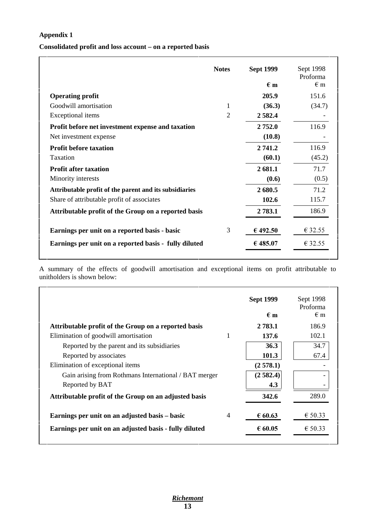## **Appendix 1**

## **Consolidated profit and loss account – on a reported basis**

|                                                        | <b>Notes</b> | <b>Sept 1999</b> | Sept 1998<br>Proforma |
|--------------------------------------------------------|--------------|------------------|-----------------------|
|                                                        |              | $\epsilon$ m     | $\epsilon$ m          |
| <b>Operating profit</b>                                |              | 205.9            | 151.6                 |
| Goodwill amortisation                                  | 1            | (36.3)           | (34.7)                |
| Exceptional items                                      | 2            | 2 5 8 2.4        |                       |
| Profit before net investment expense and taxation      |              | 2 752.0          | 116.9                 |
| Net investment expense                                 |              | (10.8)           |                       |
| <b>Profit before taxation</b>                          |              | 2 741.2          | 116.9                 |
| Taxation                                               |              | (60.1)           | (45.2)                |
| <b>Profit after taxation</b>                           |              | 2681.1           | 71.7                  |
| Minority interests                                     |              | (0.6)            | (0.5)                 |
| Attributable profit of the parent and its subsidiaries |              | 2680.5           | 71.2                  |
| Share of attributable profit of associates             |              | 102.6            | 115.7                 |
| Attributable profit of the Group on a reported basis   |              | 2 783.1          | 186.9                 |
| Earnings per unit on a reported basis - basic          | 3            | € 492.50         | € 32.55               |
| Earnings per unit on a reported basis - fully diluted  |              | € 485.07         | € 32.55               |

A summary of the effects of goodwill amortisation and exceptional items on profit attributable to unitholders is shown below:

|                                                                  | <b>Sept 1999</b><br>$\epsilon$ m | Sept 1998<br>Proforma<br>$\epsilon$ m |
|------------------------------------------------------------------|----------------------------------|---------------------------------------|
| Attributable profit of the Group on a reported basis             | 2 783.1                          | 186.9                                 |
| Elimination of goodwill amortisation                             | 137.6                            | 102.1                                 |
| Reported by the parent and its subsidiaries                      | 36.3                             | 34.7                                  |
| Reported by associates                                           | 101.3                            | 67.4                                  |
| Elimination of exceptional items                                 | (2578.1)                         |                                       |
| Gain arising from Rothmans International / BAT merger            | (2582.4)                         |                                       |
| Reported by BAT                                                  | 4.3                              |                                       |
| Attributable profit of the Group on an adjusted basis            | 342.6                            | 289.0                                 |
| Earnings per unit on an adjusted basis – basic<br>$\overline{4}$ | € 60.63                          | € 50.33                               |
| Earnings per unit on an adjusted basis - fully diluted           | € 60.05                          | € 50.33                               |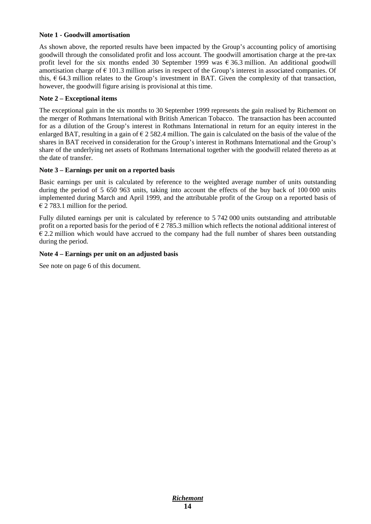#### **Note 1 - Goodwill amortisation**

As shown above, the reported results have been impacted by the Group's accounting policy of amortising goodwill through the consolidated profit and loss account. The goodwill amortisation charge at the pre-tax profit level for the six months ended 30 September 1999 was  $\epsilon$  36.3 million. An additional goodwill amortisation charge of  $\epsilon$  101.3 million arises in respect of the Group's interest in associated companies. Of this,  $\epsilon$  64.3 million relates to the Group's investment in BAT. Given the complexity of that transaction, however, the goodwill figure arising is provisional at this time.

#### **Note 2 – Exceptional items**

The exceptional gain in the six months to 30 September 1999 represents the gain realised by Richemont on the merger of Rothmans International with British American Tobacco. The transaction has been accounted for as a dilution of the Group's interest in Rothmans International in return for an equity interest in the enlarged BAT, resulting in a gain of  $\epsilon$  2 582.4 million. The gain is calculated on the basis of the value of the shares in BAT received in consideration for the Group's interest in Rothmans International and the Group's share of the underlying net assets of Rothmans International together with the goodwill related thereto as at the date of transfer.

#### **Note 3 – Earnings per unit on a reported basis**

Basic earnings per unit is calculated by reference to the weighted average number of units outstanding during the period of 5 650 963 units, taking into account the effects of the buy back of 100 000 units implemented during March and April 1999, and the attributable profit of the Group on a reported basis of  $\epsilon$  2 783.1 million for the period.

Fully diluted earnings per unit is calculated by reference to 5 742 000 units outstanding and attributable profit on a reported basis for the period of  $\epsilon$  2 785.3 million which reflects the notional additional interest of  $\epsilon$  2.2 million which would have accrued to the company had the full number of shares been outstanding during the period.

#### **Note 4 – Earnings per unit on an adjusted basis**

See note on page 6 of this document.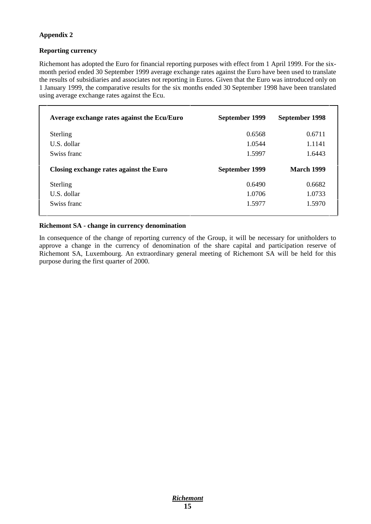### **Appendix 2**

#### **Reporting currency**

Richemont has adopted the Euro for financial reporting purposes with effect from 1 April 1999. For the sixmonth period ended 30 September 1999 average exchange rates against the Euro have been used to translate the results of subsidiaries and associates not reporting in Euros. Given that the Euro was introduced only on 1 January 1999, the comparative results for the six months ended 30 September 1998 have been translated using average exchange rates against the Ecu.

| Average exchange rates against the Ecu/Euro | September 1999 | September 1998    |
|---------------------------------------------|----------------|-------------------|
| <b>Sterling</b>                             | 0.6568         | 0.6711            |
| U.S. dollar                                 | 1.0544         | 1.1141            |
| Swiss franc                                 | 1.5997         | 1.6443            |
|                                             |                |                   |
| Closing exchange rates against the Euro     | September 1999 | <b>March 1999</b> |
| <b>Sterling</b>                             | 0.6490         | 0.6682            |
| U.S. dollar                                 | 1.0706         | 1.0733            |

#### **Richemont SA - change in currency denomination**

In consequence of the change of reporting currency of the Group, it will be necessary for unitholders to approve a change in the currency of denomination of the share capital and participation reserve of Richemont SA, Luxembourg. An extraordinary general meeting of Richemont SA will be held for this purpose during the first quarter of 2000.